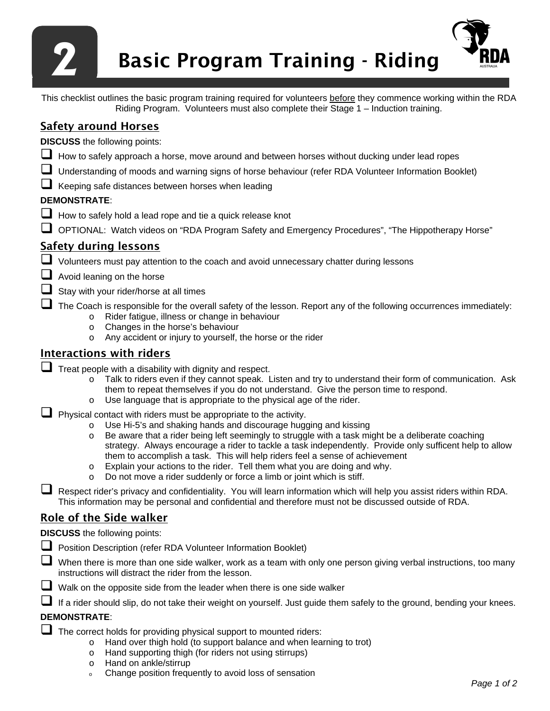

This checklist outlines the basic program training required for volunteers before they commence working within the RDA Riding Program. Volunteers must also complete their Stage 1 – Induction training.

# Safety around Horses

**DISCUSS** the following points:

- How to safely approach a horse, move around and between horses without ducking under lead ropes
- Understanding of moods and warning signs of horse behaviour (refer RDA Volunteer Information Booklet)
- Keeping safe distances between horses when leading

### **DEMONSTRATE**:

- How to safely hold a lead rope and tie a quick release knot
- OPTIONAL: Watch videos on "RDA Program Safety and Emergency Procedures", "The Hippotherapy Horse"

## Safety during lessons

Volunteers must pay attention to the coach and avoid unnecessary chatter during lessons

- $\Box$  Avoid leaning on the horse
- $\Box$  Stay with your rider/horse at all times

The Coach is responsible for the overall safety of the lesson. Report any of the following occurrences immediately:

- o Rider fatigue, illness or change in behaviour
- o Changes in the horse's behaviour
- o Any accident or injury to yourself, the horse or the rider

### Interactions with riders

- $\Box$  Treat people with a disability with dignity and respect.
	- o Talk to riders even if they cannot speak. Listen and try to understand their form of communication. Ask them to repeat themselves if you do not understand. Give the person time to respond.
	- o Use language that is appropriate to the physical age of the rider.

 $\Box$  Physical contact with riders must be appropriate to the activity.

- o Use Hi-5's and shaking hands and discourage hugging and kissing<br>
o Be aware that a rider being left seemingly to struggle with a task mi
- Be aware that a rider being left seemingly to struggle with a task might be a deliberate coaching strategy. Always encourage a rider to tackle a task independently. Provide only sufficent help to allow them to accomplish a task. This will help riders feel a sense of achievement
- o Explain your actions to the rider. Tell them what you are doing and why.
- o Do not move a rider suddenly or force a limb or joint which is stiff.

 Respect rider's privacy and confidentiality. You will learn information which will help you assist riders within RDA. This information may be personal and confidential and therefore must not be discussed outside of RDA.

## Role of the Side walker

**DISCUSS** the following points:

- **Position Description (refer RDA Volunteer Information Booklet)**
- When there is more than one side walker, work as a team with only one person giving verbal instructions, too many instructions will distract the rider from the lesson.
- Walk on the opposite side from the leader when there is one side walker

If a rider should slip, do not take their weight on yourself. Just guide them safely to the ground, bending your knees.

### **DEMONSTRATE**:

 $\Box$  The correct holds for providing physical support to mounted riders:

- o Hand over thigh hold (to support balance and when learning to trot)
- o Hand supporting thigh (for riders not using stirrups)
- o Hand on ankle/stirrup
- <sup>o</sup> Change position frequently to avoid loss of sensation